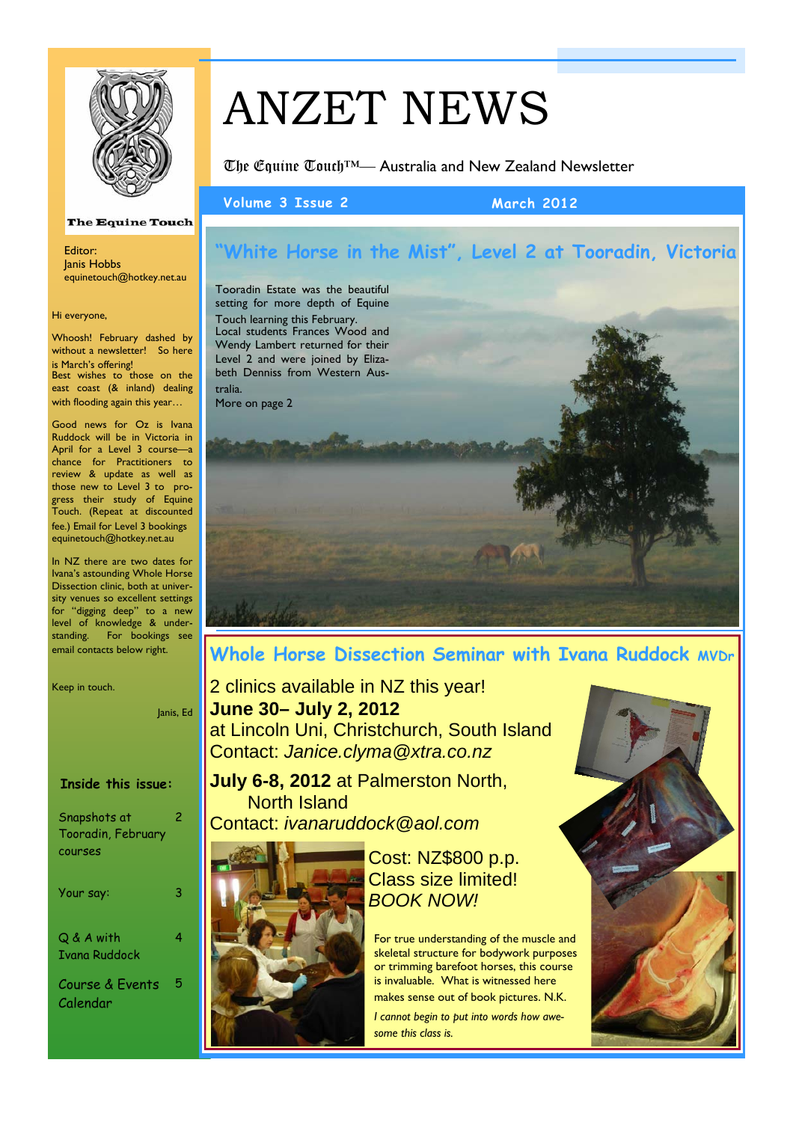

equinetouch@hotkey.net.au

**The Equine Touch** 

Whoosh! February dashed by without a newsletter! So here is March's offering! Best wishes to those on the east coast (& inland) dealing with flooding again this year…

Editor: Janis Hobbs

Hi everyone,

# ANZET NEWS

The Equine Touch™— Australia and New Zealand Newsletter

**Volume 3 Issue 2 March 2012** 

# **"White Horse in the Mist", Level 2 at Tooradin, Victoria**

Tooradin Estate was the beautiful setting for more depth of Equine Touch learning this February. Local students Frances Wood and Wendy Lambert returned for their Level 2 and were joined by Elizabeth Denniss from Western Australia. More on page 2

Good news for Oz is Ivana Ruddock will be in Victoria in April for a Level 3 course—a chance for Practitioners to review & update as well as those new to Level 3 to progress their study of Equine Touch. (Repeat at discounted fee.) Email for Level 3 bookings

In NZ there are two dates for Ivana's astounding Whole Horse Dissection clinic, both at university venues so excellent settings for "digging deep" to a new level of knowledge & understanding. For bookings see email contacts below right.

equinetouch@hotkey.net.au

Keep in touch.

Janis, Ed

## **Inside this issue:**

| Snapshots at<br>Tooradin, February<br>courses | 2 |
|-----------------------------------------------|---|
| Your say:                                     | 3 |
| Q & A with<br>Ivana Ruddock                   | 4 |
| Course & Events<br>Calendar                   | 5 |

# **Whole Horse Dissection Seminar with Ivana Ruddock MVDr**

2 clinics available in NZ this year! **June 30– July 2, 2012**  at Lincoln Uni, Christchurch, South Island Contact: *Janice.clyma@xtra.co.nz* 

**July 6-8, 2012** at Palmerston North, North Island Contact: *ivanaruddock@aol.com* 



Cost: NZ\$800 p.p. Class size limited! *BOOK NOW!* 

For true understanding of the muscle and skeletal structure for bodywork purposes or trimming barefoot horses, this course is invaluable. What is witnessed here makes sense out of book pictures. N.K.

*I cannot begin to put into words how awesome this class is.* 

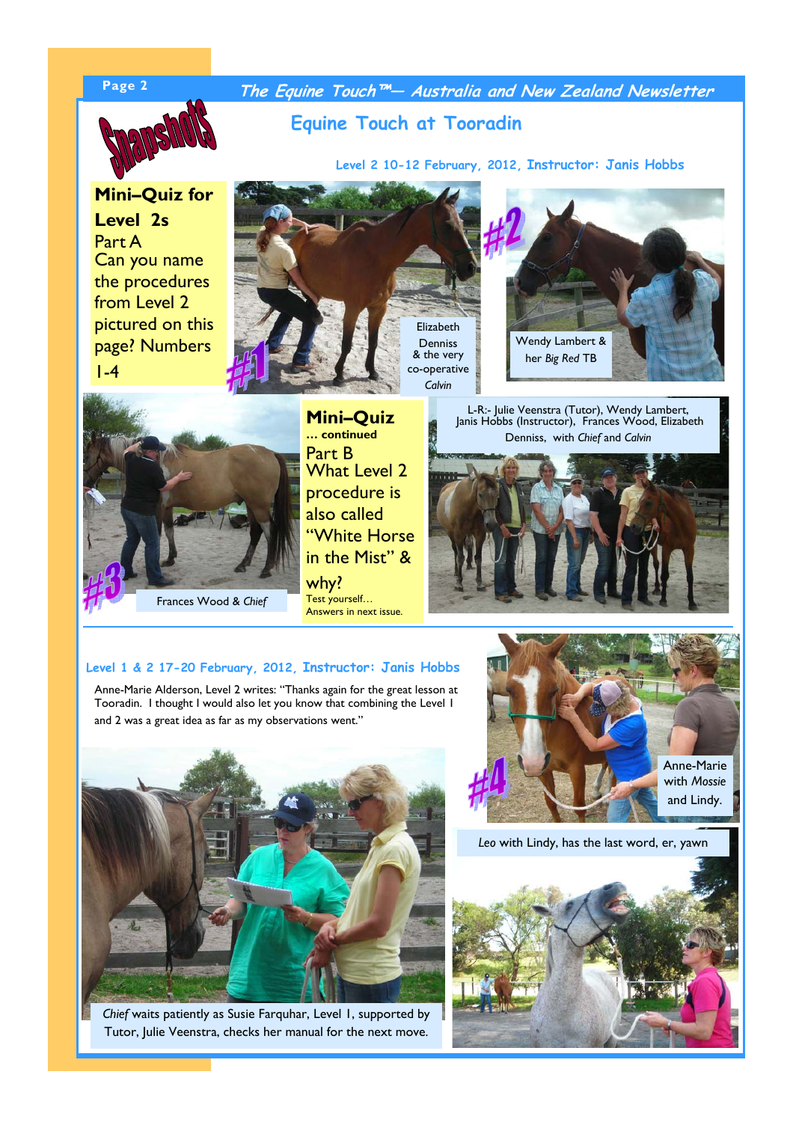

**Page 2 The Equine Touch™— Australia and New Zealand Newsletter** 

# **Equine Touch at Tooradin**

**Level 2 10-12 February, 2012, Instructor: Janis Hobbs**

**Mini–Quiz for Level 2s**  Part A Can you name the procedures from Level 2 pictured on this page? Numbers 1-4



& the very co-operative





Frances Wood & *Chief* 

**Mini–Quiz … continued**  Part B What Level 2 procedure is also called "White Horse in the Mist" & why?

Test yourself… Answers in next issue.

L-R:- Julie Veenstra (Tutor), Wendy Lambert, Janis Hobbs (Instructor), Frances Wood, Elizabeth Denniss, with *Chief* and *Calvin* 



### **Level 1 & 2 17-20 February, 2012, Instructor: Janis Hobbs**

Anne-Marie Alderson, Level 2 writes: "Thanks again for the great lesson at Tooradin. I thought I would also let you know that combining the Level 1 and 2 was a great idea as far as my observations went."



*Chief* waits patiently as Susie Farquhar, Level 1, supported by Tutor, Julie Veenstra, checks her manual for the next move.



*Leo* with Lindy, has the last word, er, yawn

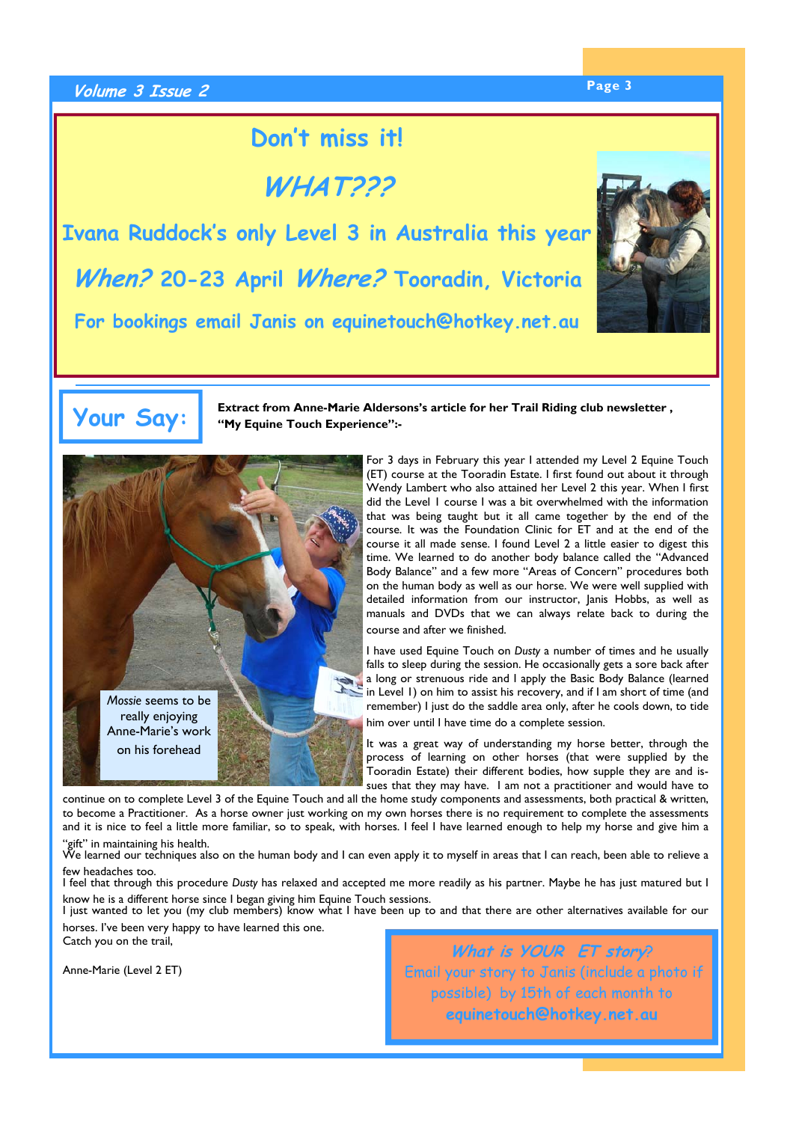# **Page 3 Volume 3 Issue 2**

# **Don't miss it!**

**WHAT???** 

**Ivana Ruddock's only Level 3 in Australia this year When? 20-23 April Where? Tooradin, Victoria For bookings email Janis on equinetouch@hotkey.net.au**



# **Your Say:**

**Extract from Anne-Marie Aldersons's article for her Trail Riding club newsletter , "My Equine Touch Experience":-** 



For 3 days in February this year I attended my Level 2 Equine Touch (ET) course at the Tooradin Estate. I first found out about it through Wendy Lambert who also attained her Level 2 this year. When I first did the Level 1 course I was a bit overwhelmed with the information that was being taught but it all came together by the end of the course. It was the Foundation Clinic for ET and at the end of the course it all made sense. I found Level 2 a little easier to digest this time. We learned to do another body balance called the "Advanced Body Balance" and a few more "Areas of Concern" procedures both on the human body as well as our horse. We were well supplied with detailed information from our instructor, Janis Hobbs, as well as manuals and DVDs that we can always relate back to during the course and after we finished.

I have used Equine Touch on *Dusty* a number of times and he usually falls to sleep during the session. He occasionally gets a sore back after a long or strenuous ride and I apply the Basic Body Balance (learned in Level 1) on him to assist his recovery, and if I am short of time (and remember) I just do the saddle area only, after he cools down, to tide him over until I have time do a complete session.

It was a great way of understanding my horse better, through the process of learning on other horses (that were supplied by the Tooradin Estate) their different bodies, how supple they are and issues that they may have. I am not a practitioner and would have to

continue on to complete Level 3 of the Equine Touch and all the home study components and assessments, both practical & written, to become a Practitioner. As a horse owner just working on my own horses there is no requirement to complete the assessments and it is nice to feel a little more familiar, so to speak, with horses. I feel I have learned enough to help my horse and give him a "gift" in maintaining his health.

We learned our techniques also on the human body and I can even apply it to myself in areas that I can reach, been able to relieve a few headaches too.

I feel that through this procedure *Dusty* has relaxed and accepted me more readily as his partner. Maybe he has just matured but I know he is a different horse since I began giving him Equine Touch sessions.

I just wanted to let you (my club members) know what I have been up to and that there are other alternatives available for our horses. I've been very happy to have learned this one.

Catch you on the trail,

Anne-Marie (Level 2 ET)

**What is YOUR ET story**? Email your story to Janis (include a photo if possible) by 15th of each month to **equinetouch@hotkey.net.au**